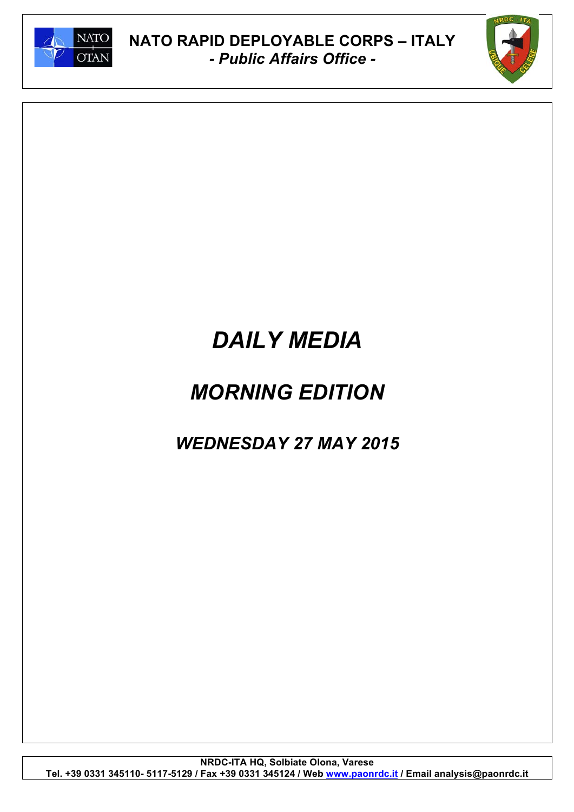



# *DAILY MEDIA*

## *MORNING EDITION*

## *WEDNESDAY 27 MAY 2015*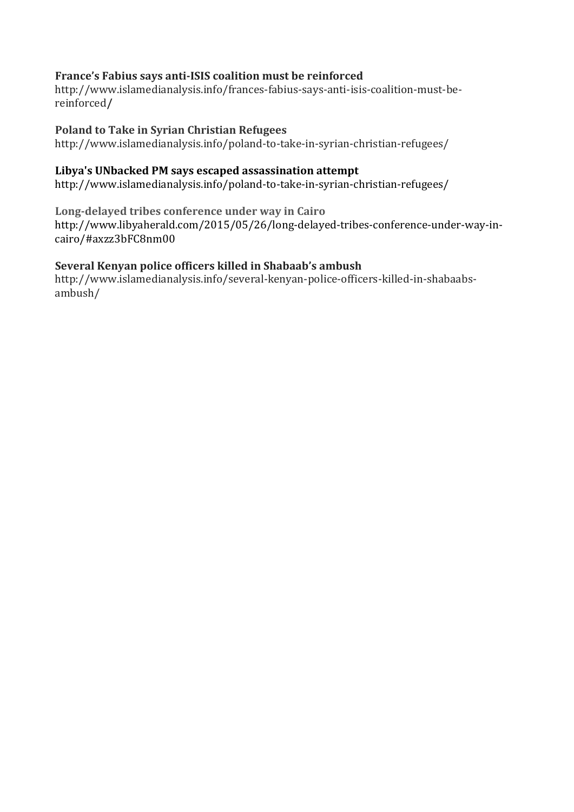### **France's)Fabius)says)anti/ISIS)coalition)must be)reinforced**

http://www.islamedianalysis.info/frances-fabius-says-anti-isis-coalition-must-bereinforced**/**

### Poland to Take in Syrian Christian Refugees

http://www.islamedianalysis.info/poland-to-take-in-syrian-christian-refugees/

### **Libya's)UNbacked)PM)says)escaped assassination)attempt**

http://www.islamedianalysis.info/poland-to-take-in-syrian-christian-refugees/

Long-delayed tribes conference under way in Cairo

http://www.libyaherald.com/2015/05/26/long-delayed-tribes-conference-under-way-incairo/#axzz3bFC8nm00

### Several Kenyan police officers killed in Shabaab's ambush

http://www.islamedianalysis.info/several-kenyan-police-officers-killed-in-shabaabsambush/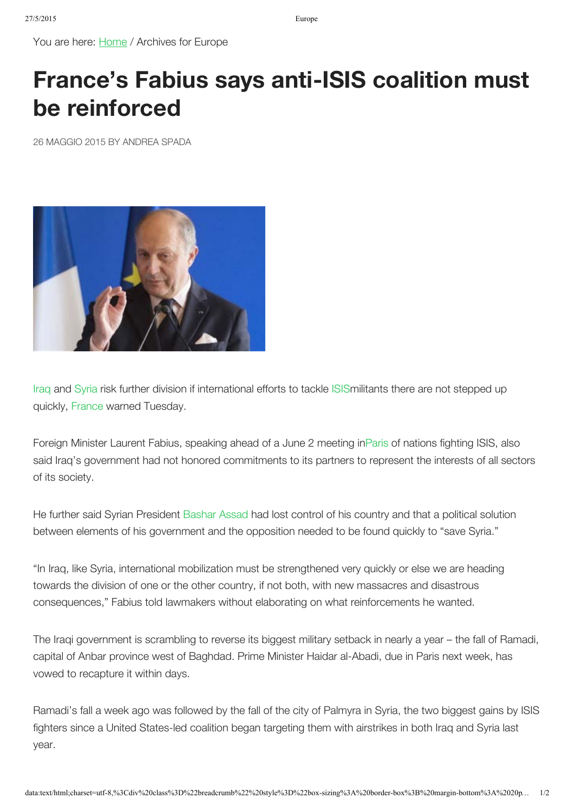You are here: [Home](http://www.islamedianalysis.info/) / Archives for Europe

# **[France's Fabius says anti-ISIS coalition must](http://www.islamedianalysis.info/frances-fabius-says-anti-isis-coalition-must-be-reinforced/) be reinforced**

26 MAGGIO 2015 BY [ANDREA SPADA](http://www.islamedianalysis.info/author/andrea-spada/)



Iraq and Syria risk further division if international efforts to tackle ISISmilitants there are not stepped up quickly, France warned Tuesday.

Foreign Minister Laurent Fabius, speaking ahead of a June 2 meeting inParis of nations fighting ISIS, also said Iraq's government had not honored commitments to its partners to represent the interests of all sectors of its society.

He further said Syrian President Bashar Assad had lost control of his country and that a political solution between elements of his government and the opposition needed to be found quickly to "save Syria."

"In Iraq, like Syria, international mobilization must be strengthened very quickly or else we are heading towards the division of one or the other country, if not both, with new massacres and disastrous consequences," Fabius told lawmakers without elaborating on what reinforcements he wanted.

The Iraqi government is scrambling to reverse its biggest military setback in nearly a year – the fall of Ramadi, capital of Anbar province west of Baghdad. Prime Minister Haidar al-Abadi, due in Paris next week, has vowed to recapture it within days.

Ramadi's fall a week ago was followed by the fall of the city of Palmyra in Syria, the two biggest gains by ISIS fighters since a United States-led coalition began targeting them with airstrikes in both Iraq and Syria last year.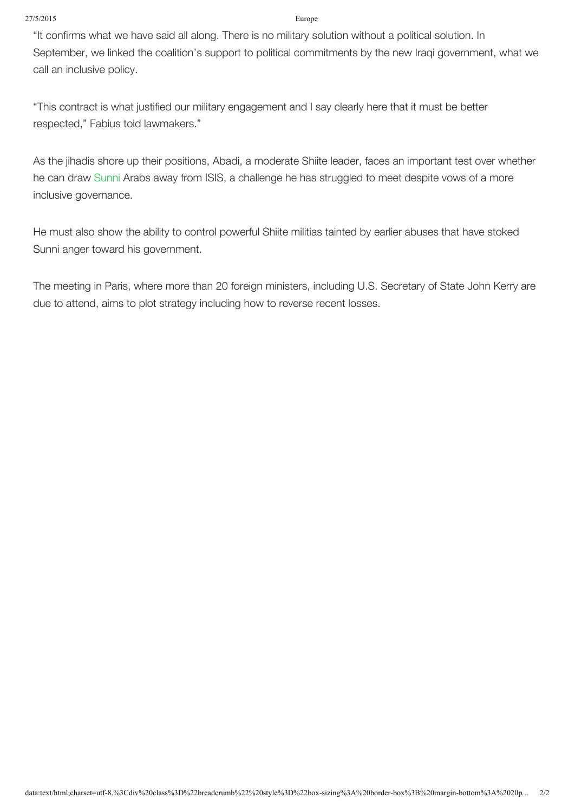### 27/5/2015 Europe

"It confirms what we have said all along. There is no military solution without a political solution. In September, we linked the coalition's support to political commitments by the new Iraqi government, what we call an inclusive policy.

"This contract is what justified our military engagement and I say clearly here that it must be better respected," Fabius told lawmakers."

As the jihadis shore up their positions, Abadi, a moderate Shiite leader, faces an important test over whether he can draw Sunni Arabs away from ISIS, a challenge he has struggled to meet despite vows of a more inclusive governance.

He must also show the ability to control powerful Shiite militias tainted by earlier abuses that have stoked Sunni anger toward his government.

The meeting in Paris, where more than 20 foreign ministers, including U.S. Secretary of State John Kerry are due to attend, aims to plot strategy including how to reverse recent losses.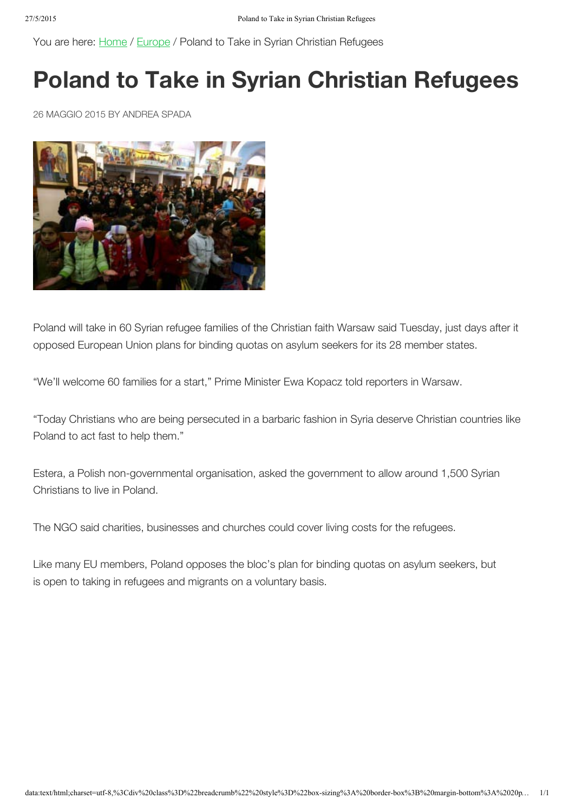You are here: [Home](http://www.islamedianalysis.info/) / [Europe](http://www.islamedianalysis.info/category/europe/) / Poland to Take in Syrian Christian Refugees

## **Poland to Take in Syrian Christian Refugees**

26 MAGGIO 2015 BY [ANDREA SPADA](http://www.islamedianalysis.info/author/andrea-spada/)



Poland will take in 60 Syrian refugee families of the Christian faith Warsaw said Tuesday, just days after it opposed European Union plans for binding quotas on asylum seekers for its 28 member states.

"We'll welcome 60 families for a start," Prime Minister Ewa Kopacz told reporters in Warsaw.

"Today Christians who are being persecuted in a barbaric fashion in Syria deserve Christian countries like Poland to act fast to help them."

Estera, a Polish non-governmental organisation, asked the government to allow around 1,500 Syrian Christians to live in Poland.

The NGO said charities, businesses and churches could cover living costs for the refugees.

Like many EU members, Poland opposes the bloc's plan for binding quotas on asylum seekers, but is open to taking in refugees and migrants on a voluntary basis.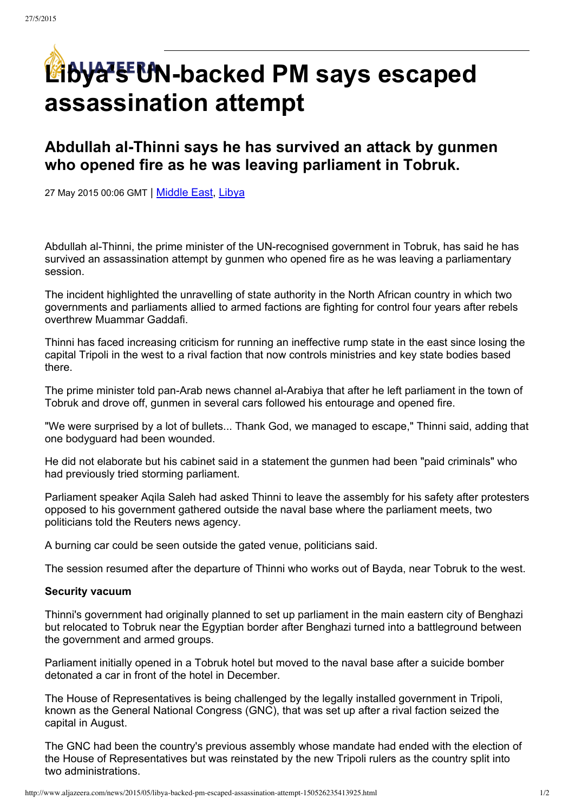# **Libya's CN-backed PM** says escaped **assassination attempt**

## **Abdullah alThinni says he has survived an attack by gunmen who opened fire as he was leaving parliament in Tobruk.**

27 May 2015 00:06 GMT | [Middle](http://www.aljazeera.com/topics/regions/middleeast.html) East, [Libya](http://www.aljazeera.com/topics/country/libya.html)

Abdullah al-Thinni, the prime minister of the UN-recognised government in Tobruk, has said he has survived an assassination attempt by gunmen who opened fire as he was leaving a parliamentary session.

The incident highlighted the unravelling of state authority in the North African country in which two governments and parliaments allied to armed factions are fighting for control four years after rebels overthrew Muammar Gaddafi.

Thinni has faced increasing criticism for running an ineffective rump state in the east since losing the capital Tripoli in the west to a rival faction that now controls ministries and key state bodies based there.

The prime minister told pan-Arab news channel al-Arabiya that after he left parliament in the town of Tobruk and drove off, gunmen in several cars followed his entourage and opened fire.

"We were surprised by a lot of bullets... Thank God, we managed to escape," Thinni said, adding that one bodyguard had been wounded.

He did not elaborate but his cabinet said in a statement the gunmen had been "paid criminals" who had previously tried storming parliament.

Parliament speaker Aqila Saleh had asked Thinni to leave the assembly for his safety after protesters opposed to his government gathered outside the naval base where the parliament meets, two politicians told the Reuters news agency.

A burning car could be seen outside the gated venue, politicians said.

The session resumed after the departure of Thinni who works out of Bayda, near Tobruk to the west.

### **Security vacuum**

Thinni's government had originally planned to set up parliament in the main eastern city of Benghazi but relocated to Tobruk near the Egyptian border after Benghazi turned into a battleground between the government and armed groups.

Parliament initially opened in a Tobruk hotel but moved to the naval base after a suicide bomber detonated a car in front of the hotel in December.

The House of Representatives is being challenged by the legally installed government in Tripoli, known as the General National Congress (GNC), that was set up after a rival faction seized the capital in August.

The GNC had been the country's previous assembly whose mandate had ended with the election of the House of Representatives but was reinstated by the new Tripoli rulers as the country split into two administrations.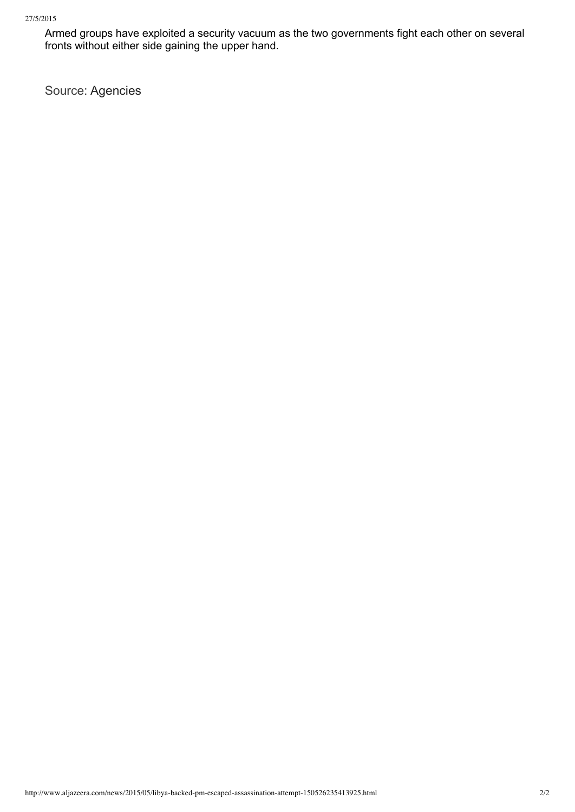Armed groups have exploited a security vacuum as the two governments fight each other on several fronts without either side gaining the upper hand.

Source: Agencies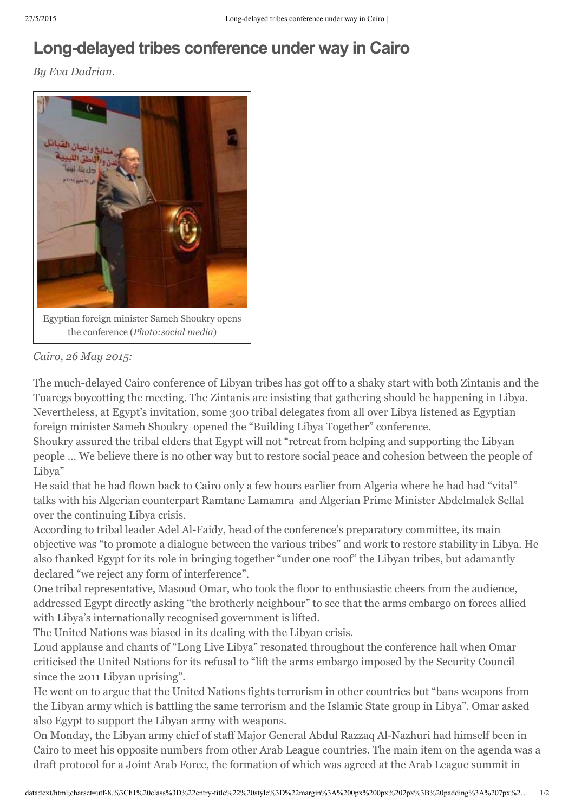## **Long-delayed tribes conference under way in Cairo**

*By Eva Dadrian.*



*Cairo, 26 May 2015:*

The much-delayed Cairo conference of Libyan tribes has got off to a shaky start with both Zintanis and the Tuaregs boycotting the meeting. The Zintanis are insisting that gathering should be happening in Libya. Nevertheless, at Egypt's invitation, some 300 tribal delegates from all over Libya listened as Egyptian foreign minister Sameh Shoukry opened the "Building Libya Together" conference.

Shoukry assured the tribal elders that Egypt will not "retreat from helping and supporting the Libyan people … We believe there is no other way but to restore social peace and cohesion between the people of Libya"

He said that he had flown back to Cairo only a few hours earlier from Algeria where he had had "vital" talks with his Algerian counterpart Ramtane Lamamra and Algerian Prime Minister Abdelmalek Sellal over the continuing Libya crisis.

According to tribal leader Adel Al-Faidy, head of the conference's preparatory committee, its main objective was "to promote a dialogue between the various tribes" and work to restore stability in Libya. He also thanked Egypt for its role in bringing together "under one roof" the Libyan tribes, but adamantly declared "we reject any form of interference".

One tribal representative, Masoud Omar, who took the floor to enthusiastic cheers from the audience, addressed Egypt directly asking "the brotherly neighbour" to see that the arms embargo on forces allied with Libya's internationally recognised government is lifted.

The United Nations was biased in its dealing with the Libyan crisis.

Loud applause and chants of "Long Live Libya" resonated throughout the conference hall when Omar criticised the United Nations for its refusal to "lift the arms embargo imposed by the Security Council since the 2011 Libyan uprising".

He went on to argue that the United Nations fights terrorism in other countries but "bans weapons from the Libyan army which is battling the same terrorism and the Islamic State group in Libya". Omar asked also Egypt to support the Libyan army with weapons.

On Monday, the Libyan army chief of staff Major General Abdul Razzaq Al-Nazhuri had himself been in Cairo to meet his opposite numbers from other Arab League countries. The main item on the agenda was a draft protocol for a Joint Arab Force, the formation of which was agreed at the Arab League summit in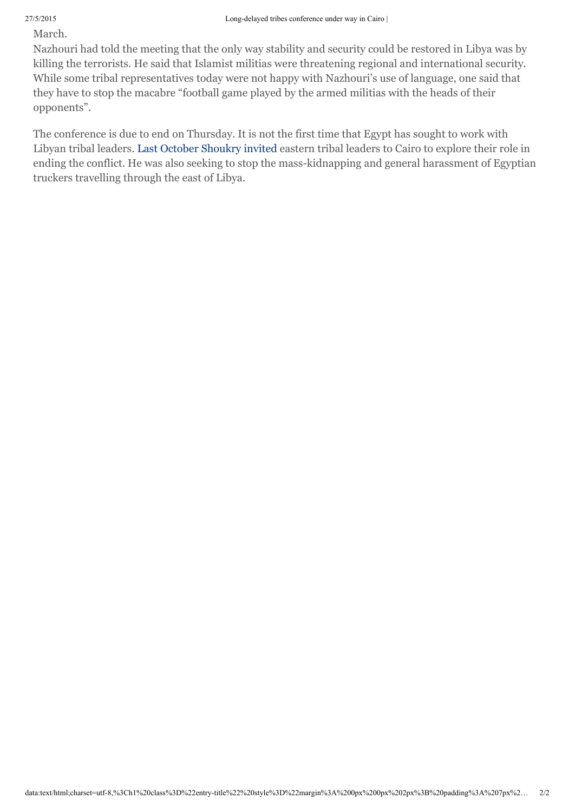March.

Nazhouri had told the meeting that the only way stability and security could be restored in Libya was by killing the terrorists. He said that Islamist militias were threatening regional and international security. While some tribal representatives today were not happy with Nazhouri's use of language, one said that they have to stop the macabre "football game played by the armed militias with the heads of their opponents".

The conference is due to end on Thursday. It is not the first time that Egypt has sought to work with Libyan tribal leaders. Last October [Shoukry](http://www.libyaherald.com/2014/10/20/egyptian-foreign-minister-meets-with-delegation-of-libyan-tribal-leaders/#axzz3bAJxRvxk) invited eastern tribal leaders to Cairo to explore their role in ending the conflict. He was also seeking to stop the mass-kidnapping and general harassment of Egyptian truckers travelling through the east of Libya.